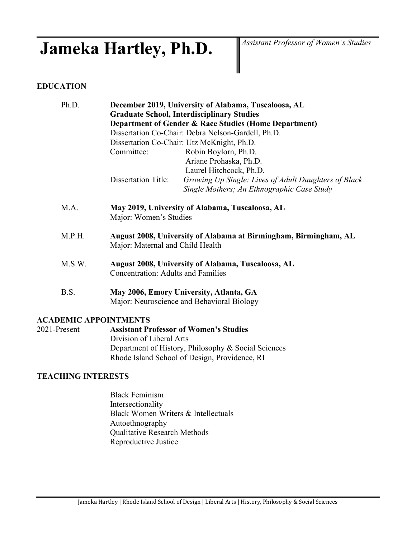# Jameka Hartley, Ph.D. *Assistant Professor of Women's Studies*

# **EDUCATION**

| Ph.D.                        |                                            | December 2019, University of Alabama, Tuscaloosa, AL                                  |
|------------------------------|--------------------------------------------|---------------------------------------------------------------------------------------|
|                              |                                            | <b>Graduate School, Interdisciplinary Studies</b>                                     |
|                              |                                            | Department of Gender & Race Studies (Home Department)                                 |
|                              |                                            | Dissertation Co-Chair: Debra Nelson-Gardell, Ph.D.                                    |
|                              | Dissertation Co-Chair: Utz McKnight, Ph.D. |                                                                                       |
|                              | Committee:                                 | Robin Boylorn, Ph.D.                                                                  |
|                              |                                            | Ariane Prohaska, Ph.D.                                                                |
|                              |                                            | Laurel Hitchcock, Ph.D.                                                               |
|                              | <b>Dissertation Title:</b>                 | Growing Up Single: Lives of Adult Daughters of Black                                  |
|                              |                                            | Single Mothers; An Ethnographic Case Study                                            |
| M.A.                         | Major: Women's Studies                     | May 2019, University of Alabama, Tuscaloosa, AL                                       |
| M.P.H.                       | Major: Maternal and Child Health           | August 2008, University of Alabama at Birmingham, Birmingham, AL                      |
| M.S.W.                       | <b>Concentration: Adults and Families</b>  | August 2008, University of Alabama, Tuscaloosa, AL                                    |
| B.S.                         |                                            | May 2006, Emory University, Atlanta, GA<br>Major: Neuroscience and Behavioral Biology |
| <b>ACADEMIC APPOINTMENTS</b> |                                            |                                                                                       |
| 2021-Present                 |                                            | <b>Assistant Professor of Women's Studies</b>                                         |
|                              | Division of Liboral Arts                   |                                                                                       |

Division of Liberal Arts Department of History, Philosophy & Social Sciences Rhode Island School of Design, Providence, RI

# **TEACHING INTERESTS**

Black Feminism Intersectionality Black Women Writers & Intellectuals Autoethnography Qualitative Research Methods Reproductive Justice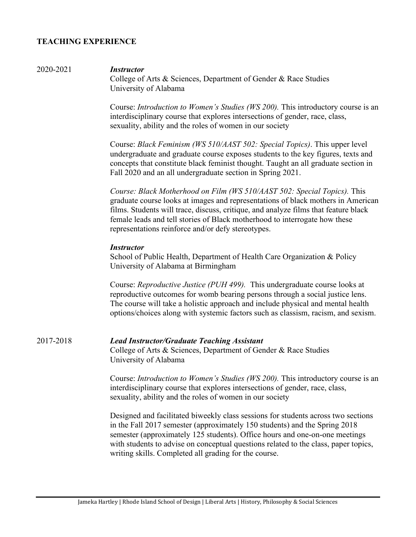# **TEACHING EXPERIENCE**

#### 2020-2021 *Instructor*

College of Arts & Sciences, Department of Gender & Race Studies University of Alabama

Course: *Introduction to Women's Studies (WS 200).* This introductory course is an interdisciplinary course that explores intersections of gender, race, class, sexuality, ability and the roles of women in our society

Course: *Black Feminism (WS 510/AAST 502: Special Topics)*. This upper level undergraduate and graduate course exposes students to the key figures, texts and concepts that constitute black feminist thought. Taught an all graduate section in Fall 2020 and an all undergraduate section in Spring 2021.

*Course: Black Motherhood on Film (WS 510/AAST 502: Special Topics).* This graduate course looks at images and representations of black mothers in American films. Students will trace, discuss, critique, and analyze films that feature black female leads and tell stories of Black motherhood to interrogate how these representations reinforce and/or defy stereotypes.

#### *Instructor*

School of Public Health, Department of Health Care Organization & Policy University of Alabama at Birmingham

Course: *Reproductive Justice (PUH 499).* This undergraduate course looks at reproductive outcomes for womb bearing persons through a social justice lens. The course will take a holistic approach and include physical and mental health options/choices along with systemic factors such as classism, racism, and sexism.

2017-2018 *Lead Instructor/Graduate Teaching Assistant* College of Arts & Sciences, Department of Gender & Race Studies University of Alabama

> Course: *Introduction to Women's Studies (WS 200).* This introductory course is an interdisciplinary course that explores intersections of gender, race, class, sexuality, ability and the roles of women in our society

Designed and facilitated biweekly class sessions for students across two sections in the Fall 2017 semester (approximately 150 students) and the Spring 2018 semester (approximately 125 students). Office hours and one-on-one meetings with students to advise on conceptual questions related to the class, paper topics, writing skills. Completed all grading for the course.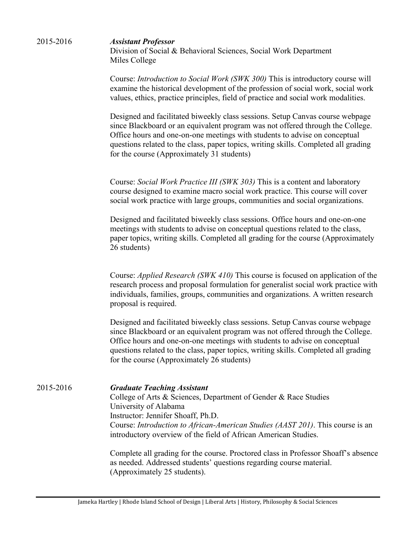| 2015-2016 | <b>Assistant Professor</b><br>Division of Social & Behavioral Sciences, Social Work Department<br>Miles College                                                                                                                                                                                                                                                                    |
|-----------|------------------------------------------------------------------------------------------------------------------------------------------------------------------------------------------------------------------------------------------------------------------------------------------------------------------------------------------------------------------------------------|
|           | Course: <i>Introduction to Social Work (SWK 300)</i> This is introductory course will<br>examine the historical development of the profession of social work, social work<br>values, ethics, practice principles, field of practice and social work modalities.                                                                                                                    |
|           | Designed and facilitated biweekly class sessions. Setup Canvas course webpage<br>since Blackboard or an equivalent program was not offered through the College.<br>Office hours and one-on-one meetings with students to advise on conceptual<br>questions related to the class, paper topics, writing skills. Completed all grading<br>for the course (Approximately 31 students) |
|           | Course: Social Work Practice III (SWK 303) This is a content and laboratory<br>course designed to examine macro social work practice. This course will cover<br>social work practice with large groups, communities and social organizations.                                                                                                                                      |
|           | Designed and facilitated biweekly class sessions. Office hours and one-on-one<br>meetings with students to advise on conceptual questions related to the class,<br>paper topics, writing skills. Completed all grading for the course (Approximately<br>26 students)                                                                                                               |
|           | Course: <i>Applied Research (SWK 410)</i> This course is focused on application of the<br>research process and proposal formulation for generalist social work practice with<br>individuals, families, groups, communities and organizations. A written research<br>proposal is required.                                                                                          |
|           | Designed and facilitated biweekly class sessions. Setup Canvas course webpage<br>since Blackboard or an equivalent program was not offered through the College.                                                                                                                                                                                                                    |

since Blackboard or an equivalent program was not offered through the College. Office hours and one-on-one meetings with students to advise on conceptual questions related to the class, paper topics, writing skills. Completed all grading for the course (Approximately 26 students)

2015-2016 *Graduate Teaching Assistant* College of Arts & Sciences, Department of Gender & Race Studies University of Alabama Instructor: Jennifer Shoaff, Ph.D. Course: *Introduction to African-American Studies (AAST 201)*. This course is an introductory overview of the field of African American Studies.

> Complete all grading for the course. Proctored class in Professor Shoaff's absence as needed. Addressed students' questions regarding course material. (Approximately 25 students).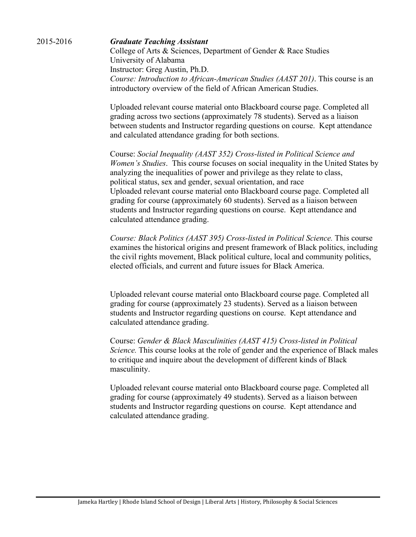#### 2015-2016 *Graduate Teaching Assistant*

College of Arts & Sciences, Department of Gender & Race Studies University of Alabama Instructor: Greg Austin, Ph.D. *Course: Introduction to African-American Studies (AAST 201)*. This course is an introductory overview of the field of African American Studies.

Uploaded relevant course material onto Blackboard course page. Completed all grading across two sections (approximately 78 students). Served as a liaison between students and Instructor regarding questions on course. Kept attendance and calculated attendance grading for both sections.

Course: *Social Inequality (AAST 352) Cross-listed in Political Science and Women's Studies*. This course focuses on social inequality in the United States by analyzing the inequalities of power and privilege as they relate to class, political status, sex and gender, sexual orientation, and race Uploaded relevant course material onto Blackboard course page. Completed all grading for course (approximately 60 students). Served as a liaison between students and Instructor regarding questions on course. Kept attendance and calculated attendance grading.

*Course: Black Politics (AAST 395) Cross-listed in Political Science.* This course examines the historical origins and present framework of Black politics, including the civil rights movement, Black political culture, local and community politics, elected officials, and current and future issues for Black America.

Uploaded relevant course material onto Blackboard course page. Completed all grading for course (approximately 23 students). Served as a liaison between students and Instructor regarding questions on course. Kept attendance and calculated attendance grading.

Course: *Gender & Black Masculinities (AAST 415) Cross-listed in Political Science.* This course looks at the role of gender and the experience of Black males to critique and inquire about the development of different kinds of Black masculinity.

Uploaded relevant course material onto Blackboard course page. Completed all grading for course (approximately 49 students). Served as a liaison between students and Instructor regarding questions on course. Kept attendance and calculated attendance grading.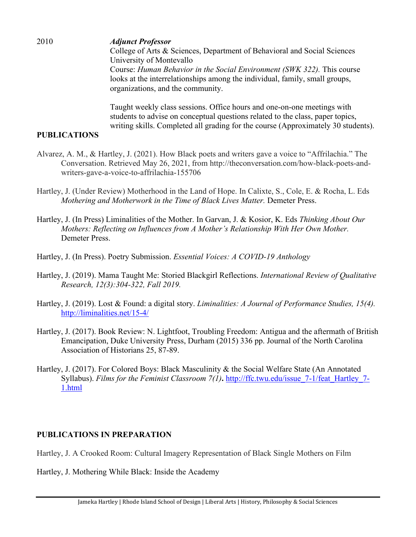2010 *Adjunct Professor* College of Arts & Sciences, Department of Behavioral and Social Sciences University of Montevallo Course: *Human Behavior in the Social Environment (SWK 322).* This course looks at the interrelationships among the individual, family, small groups, organizations, and the community.

> Taught weekly class sessions. Office hours and one-on-one meetings with students to advise on conceptual questions related to the class, paper topics, writing skills. Completed all grading for the course (Approximately 30 students).

# **PUBLICATIONS**

- Alvarez, A. M., & Hartley, J. (2021). How Black poets and writers gave a voice to "Affrilachia." The Conversation. Retrieved May 26, 2021, from http://theconversation.com/how-black-poets-andwriters-gave-a-voice-to-affrilachia-155706
- Hartley, J. (Under Review) Motherhood in the Land of Hope. In Calixte, S., Cole, E. & Rocha, L. Eds *Mothering and Motherwork in the Time of Black Lives Matter.* Demeter Press.
- Hartley, J. (In Press) Liminalities of the Mother. In Garvan, J. & Kosior, K. Eds *Thinking About Our Mothers: Reflecting on Influences from A Mother's Relationship With Her Own Mother.*  Demeter Press.
- Hartley, J. (In Press). Poetry Submission. *Essential Voices: A COVID-19 Anthology*
- Hartley, J. (2019). Mama Taught Me: Storied Blackgirl Reflections. *International Review of Qualitative Research, 12(3):304-322, Fall 2019.*
- Hartley, J. (2019). Lost & Found: a digital story. *Liminalities: A Journal of Performance Studies, 15(4).*  <http://liminalities.net/15-4/>
- Hartley, J. (2017). Book Review: N. Lightfoot, Troubling Freedom: Antigua and the aftermath of British Emancipation, Duke University Press, Durham (2015) 336 pp. Journal of the North Carolina Association of Historians 25, 87-89.
- Hartley, J. (2017). For Colored Boys: Black Masculinity & the Social Welfare State (An Annotated Syllabus). *Films for the Feminist Classroom 7(1)***.** [http://ffc.twu.edu/issue\\_7-1/feat\\_Hartley\\_7-](http://ffc.twu.edu/issue_7-1/feat_Hartley_7-1.html) [1.html](http://ffc.twu.edu/issue_7-1/feat_Hartley_7-1.html)

# **PUBLICATIONS IN PREPARATION**

Hartley, J. A Crooked Room: Cultural Imagery Representation of Black Single Mothers on Film

Hartley, J. Mothering While Black: Inside the Academy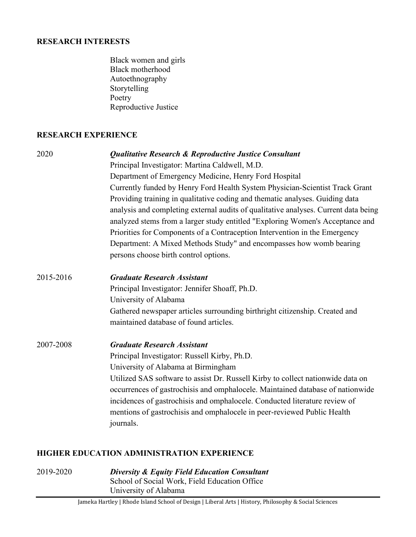## **RESEARCH INTERESTS**

| Black women and girls |
|-----------------------|
| Black motherhood      |
| Autoethnography       |
| Storytelling          |
| Poetry                |
| Reproductive Justice  |

# **RESEARCH EXPERIENCE**

| 2020      | <b>Qualitative Research &amp; Reproductive Justice Consultant</b><br>Principal Investigator: Martina Caldwell, M.D.<br>Department of Emergency Medicine, Henry Ford Hospital<br>Currently funded by Henry Ford Health System Physician-Scientist Track Grant<br>Providing training in qualitative coding and thematic analyses. Guiding data<br>analysis and completing external audits of qualitative analyses. Current data being<br>analyzed stems from a larger study entitled "Exploring Women's Acceptance and |
|-----------|----------------------------------------------------------------------------------------------------------------------------------------------------------------------------------------------------------------------------------------------------------------------------------------------------------------------------------------------------------------------------------------------------------------------------------------------------------------------------------------------------------------------|
|           | Priorities for Components of a Contraception Intervention in the Emergency<br>Department: A Mixed Methods Study" and encompasses how womb bearing<br>persons choose birth control options.                                                                                                                                                                                                                                                                                                                           |
| 2015-2016 | <b>Graduate Research Assistant</b><br>Principal Investigator: Jennifer Shoaff, Ph.D.<br>University of Alabama<br>Gathered newspaper articles surrounding birthright citizenship. Created and<br>maintained database of found articles.                                                                                                                                                                                                                                                                               |
| 2007-2008 | <b>Graduate Research Assistant</b><br>Principal Investigator: Russell Kirby, Ph.D.<br>University of Alabama at Birmingham<br>Utilized SAS software to assist Dr. Russell Kirby to collect nationwide data on<br>occurrences of gastrochisis and omphalocele. Maintained database of nationwide<br>incidences of gastrochisis and omphalocele. Conducted literature review of<br>mentions of gastrochisis and omphalocele in peer-reviewed Public Health<br>journals.                                                 |

# **HIGHER EDUCATION ADMINISTRATION EXPERIENCE**

2019-2020 *Diversity & Equity Field Education Consultant* School of Social Work, Field Education Office University of Alabama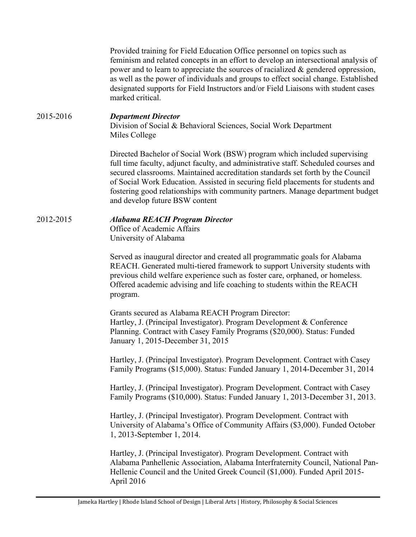Provided training for Field Education Office personnel on topics such as feminism and related concepts in an effort to develop an intersectional analysis of power and to learn to appreciate the sources of racialized & gendered oppression, as well as the power of individuals and groups to effect social change. Established designated supports for Field Instructors and/or Field Liaisons with student cases marked critical.

### 2015-2016 *Department Director*

Division of Social & Behavioral Sciences, Social Work Department Miles College

Directed Bachelor of Social Work (BSW) program which included supervising full time faculty, adjunct faculty, and administrative staff. Scheduled courses and secured classrooms. Maintained accreditation standards set forth by the Council of Social Work Education. Assisted in securing field placements for students and fostering good relationships with community partners. Manage department budget and develop future BSW content

#### 2012-2015 *Alabama REACH Program Director*

Office of Academic Affairs University of Alabama

Served as inaugural director and created all programmatic goals for Alabama REACH. Generated multi-tiered framework to support University students with previous child welfare experience such as foster care, orphaned, or homeless. Offered academic advising and life coaching to students within the REACH program.

Grants secured as Alabama REACH Program Director: Hartley, J. (Principal Investigator). Program Development & Conference Planning. Contract with Casey Family Programs (\$20,000). Status: Funded January 1, 2015-December 31, 2015

Hartley, J. (Principal Investigator). Program Development. Contract with Casey Family Programs (\$15,000). Status: Funded January 1, 2014-December 31, 2014

Hartley, J. (Principal Investigator). Program Development. Contract with Casey Family Programs (\$10,000). Status: Funded January 1, 2013-December 31, 2013.

Hartley, J. (Principal Investigator). Program Development. Contract with University of Alabama's Office of Community Affairs (\$3,000). Funded October 1, 2013-September 1, 2014.

Hartley, J. (Principal Investigator). Program Development. Contract with Alabama Panhellenic Association, Alabama Interfraternity Council, National Pan-Hellenic Council and the United Greek Council (\$1,000). Funded April 2015- April 2016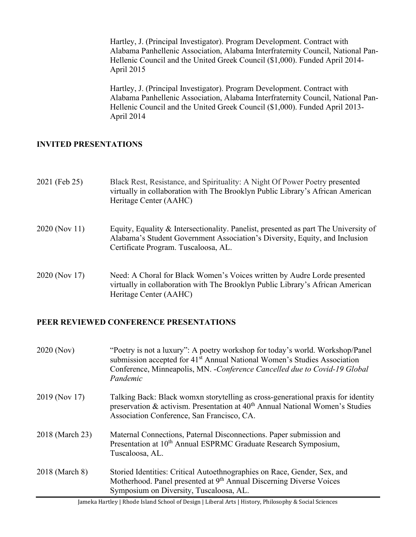Hartley, J. (Principal Investigator). Program Development. Contract with Alabama Panhellenic Association, Alabama Interfraternity Council, National Pan-Hellenic Council and the United Greek Council (\$1,000). Funded April 2014- April 2015

Hartley, J. (Principal Investigator). Program Development. Contract with Alabama Panhellenic Association, Alabama Interfraternity Council, National Pan-Hellenic Council and the United Greek Council (\$1,000). Funded April 2013- April 2014

# **INVITED PRESENTATIONS**

| 2021 (Feb 25) | Black Rest, Resistance, and Spirituality: A Night Of Power Poetry presented<br>virtually in collaboration with The Brooklyn Public Library's African American<br>Heritage Center (AAHC)                    |
|---------------|------------------------------------------------------------------------------------------------------------------------------------------------------------------------------------------------------------|
| 2020 (Nov 11) | Equity, Equality & Intersectionality. Panelist, presented as part The University of<br>Alabama's Student Government Association's Diversity, Equity, and Inclusion<br>Certificate Program. Tuscaloosa, AL. |
| 2020 (Nov 17) | Need: A Choral for Black Women's Voices written by Audre Lorde presented<br>virtually in collaboration with The Brooklyn Public Library's African American<br>Heritage Center (AAHC)                       |

# **PEER REVIEWED CONFERENCE PRESENTATIONS**

| 2020 (Nov)      | "Poetry is not a luxury": A poetry workshop for today's world. Workshop/Panel<br>submission accepted for 41 <sup>st</sup> Annual National Women's Studies Association<br>Conference, Minneapolis, MN. - Conference Cancelled due to Covid-19 Global<br>Pandemic |
|-----------------|-----------------------------------------------------------------------------------------------------------------------------------------------------------------------------------------------------------------------------------------------------------------|
| 2019 (Nov 17)   | Talking Back: Black womxn storytelling as cross-generational praxis for identity<br>preservation & activism. Presentation at 40 <sup>th</sup> Annual National Women's Studies<br>Association Conference, San Francisco, CA.                                     |
| 2018 (March 23) | Maternal Connections, Paternal Disconnections. Paper submission and<br>Presentation at 10 <sup>th</sup> Annual ESPRMC Graduate Research Symposium,<br>Tuscaloosa, AL.                                                                                           |
| 2018 (March 8)  | Storied Identities: Critical Autoethnographies on Race, Gender, Sex, and<br>Motherhood. Panel presented at 9 <sup>th</sup> Annual Discerning Diverse Voices<br>Symposium on Diversity, Tuscaloosa, AL.                                                          |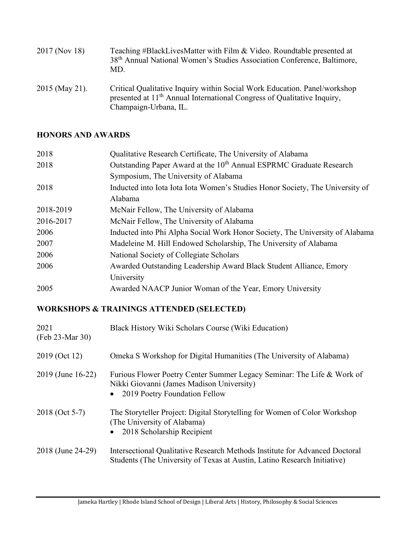| 2017 (Nov 18)  | Teaching #BlackLivesMatter with Film & Video. Roundtable presented at<br>38 <sup>th</sup> Annual National Women's Studies Association Conference, Baltimore,<br>MD.                       |
|----------------|-------------------------------------------------------------------------------------------------------------------------------------------------------------------------------------------|
| 2015 (May 21). | Critical Qualitative Inquiry within Social Work Education. Panel/workshop<br>presented at 11 <sup>th</sup> Annual International Congress of Qualitative Inquiry,<br>Champaign-Urbana, IL. |

# **HONORS AND AWARDS**

| Qualitative Research Certificate, The University of Alabama                     |
|---------------------------------------------------------------------------------|
| Outstanding Paper Award at the 10 <sup>th</sup> Annual ESPRMC Graduate Research |
| Symposium, The University of Alabama                                            |
| Inducted into Iota Iota Iota Women's Studies Honor Society, The University of   |
| Alabama                                                                         |
| McNair Fellow, The University of Alabama                                        |
| McNair Fellow, The University of Alabama                                        |
| Inducted into Phi Alpha Social Work Honor Society, The University of Alabama    |
| Madeleine M. Hill Endowed Scholarship, The University of Alabama                |
| National Society of Collegiate Scholars                                         |
| Awarded Outstanding Leadership Award Black Student Alliance, Emory              |
| University                                                                      |
| Awarded NAACP Junior Woman of the Year, Emory University                        |
|                                                                                 |

# **WORKSHOPS & TRAININGS ATTENDED (SELECTED)**

| 2021<br>(Feb 23-Mar 30) | Black History Wiki Scholars Course (Wiki Education)                                                                                                     |
|-------------------------|---------------------------------------------------------------------------------------------------------------------------------------------------------|
| 2019 (Oct 12)           | Omeka S Workshop for Digital Humanities (The University of Alabama)                                                                                     |
| 2019 (June 16-22)       | Furious Flower Poetry Center Summer Legacy Seminar: The Life & Work of<br>Nikki Giovanni (James Madison University)<br>• 2019 Poetry Foundation Fellow  |
| 2018 (Oct 5-7)          | The Storyteller Project: Digital Storytelling for Women of Color Workshop<br>(The University of Alabama)<br>• 2018 Scholarship Recipient                |
| 2018 (June 24-29)       | Intersectional Qualitative Research Methods Institute for Advanced Doctoral<br>Students (The University of Texas at Austin, Latino Research Initiative) |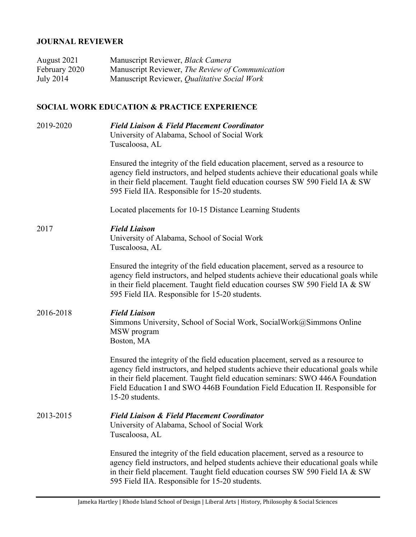# **JOURNAL REVIEWER**

| August 2021   | Manuscript Reviewer, Black Camera                |
|---------------|--------------------------------------------------|
| February 2020 | Manuscript Reviewer, The Review of Communication |
| July 2014     | Manuscript Reviewer, Qualitative Social Work     |

# **SOCIAL WORK EDUCATION & PRACTICE EXPERIENCE**

| 2019-2020 | <b>Field Liaison &amp; Field Placement Coordinator</b><br>University of Alabama, School of Social Work<br>Tuscaloosa, AL                                                                                                                                                                                                                                     |
|-----------|--------------------------------------------------------------------------------------------------------------------------------------------------------------------------------------------------------------------------------------------------------------------------------------------------------------------------------------------------------------|
|           | Ensured the integrity of the field education placement, served as a resource to<br>agency field instructors, and helped students achieve their educational goals while<br>in their field placement. Taught field education courses SW 590 Field IA & SW<br>595 Field IIA. Responsible for 15-20 students.                                                    |
|           | Located placements for 10-15 Distance Learning Students                                                                                                                                                                                                                                                                                                      |
| 2017      | <b>Field Liaison</b><br>University of Alabama, School of Social Work<br>Tuscaloosa, AL                                                                                                                                                                                                                                                                       |
|           | Ensured the integrity of the field education placement, served as a resource to<br>agency field instructors, and helped students achieve their educational goals while<br>in their field placement. Taught field education courses SW 590 Field IA & SW<br>595 Field IIA. Responsible for 15-20 students.                                                    |
| 2016-2018 | <b>Field Liaison</b><br>Simmons University, School of Social Work, Social Work@Simmons Online<br>MSW program<br>Boston, MA                                                                                                                                                                                                                                   |
|           | Ensured the integrity of the field education placement, served as a resource to<br>agency field instructors, and helped students achieve their educational goals while<br>in their field placement. Taught field education seminars: SWO 446A Foundation<br>Field Education I and SWO 446B Foundation Field Education II. Responsible for<br>15-20 students. |
| 2013-2015 | <b>Field Liaison &amp; Field Placement Coordinator</b><br>University of Alabama, School of Social Work<br>Tuscaloosa, AL                                                                                                                                                                                                                                     |
|           | Ensured the integrity of the field education placement, served as a resource to<br>agency field instructors, and helped students achieve their educational goals while<br>in their field placement. Taught field education courses SW 590 Field IA & SW<br>595 Field IIA. Responsible for 15-20 students.                                                    |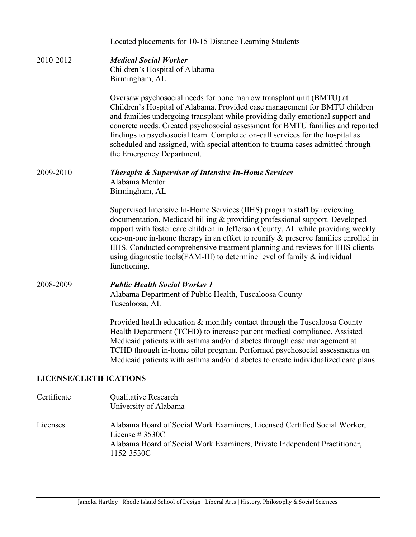|                               | Located placements for 10-15 Distance Learning Students                                                                                                                                                                                                                                                                                                                                                                                                                                                                 |
|-------------------------------|-------------------------------------------------------------------------------------------------------------------------------------------------------------------------------------------------------------------------------------------------------------------------------------------------------------------------------------------------------------------------------------------------------------------------------------------------------------------------------------------------------------------------|
| 2010-2012                     | <b>Medical Social Worker</b><br>Children's Hospital of Alabama<br>Birmingham, AL                                                                                                                                                                                                                                                                                                                                                                                                                                        |
|                               | Oversaw psychosocial needs for bone marrow transplant unit (BMTU) at<br>Children's Hospital of Alabama. Provided case management for BMTU children<br>and families undergoing transplant while providing daily emotional support and<br>concrete needs. Created psychosocial assessment for BMTU families and reported<br>findings to psychosocial team. Completed on-call services for the hospital as<br>scheduled and assigned, with special attention to trauma cases admitted through<br>the Emergency Department. |
| 2009-2010                     | <b>Therapist &amp; Supervisor of Intensive In-Home Services</b><br>Alabama Mentor<br>Birmingham, AL                                                                                                                                                                                                                                                                                                                                                                                                                     |
|                               | Supervised Intensive In-Home Services (IIHS) program staff by reviewing<br>documentation, Medicaid billing & providing professional support. Developed<br>rapport with foster care children in Jefferson County, AL while providing weekly<br>one-on-one in-home therapy in an effort to reunify $\&$ preserve families enrolled in<br>IIHS. Conducted comprehensive treatment planning and reviews for IIHS clients<br>using diagnostic tools (FAM-III) to determine level of family $\&$ individual<br>functioning.   |
| 2008-2009                     | <b>Public Health Social Worker I</b><br>Alabama Department of Public Health, Tuscaloosa County<br>Tuscaloosa, AL                                                                                                                                                                                                                                                                                                                                                                                                        |
|                               | Provided health education & monthly contact through the Tuscaloosa County<br>Health Department (TCHD) to increase patient medical compliance. Assisted<br>Medicaid patients with asthma and/or diabetes through case management at<br>TCHD through in-home pilot program. Performed psychosocial assessments on<br>Medicaid patients with asthma and/or diabetes to create individualized care plans                                                                                                                    |
| <b>LICENSE/CERTIFICATIONS</b> |                                                                                                                                                                                                                                                                                                                                                                                                                                                                                                                         |
| Certificate                   | Qualitative Research<br>University of Alabama                                                                                                                                                                                                                                                                                                                                                                                                                                                                           |
| Licenses                      | Alabama Board of Social Work Examiners, Licensed Certified Social Worker,<br>License # $3530C$<br>Alabama Board of Social Work Examiners, Private Independent Practitioner,                                                                                                                                                                                                                                                                                                                                             |